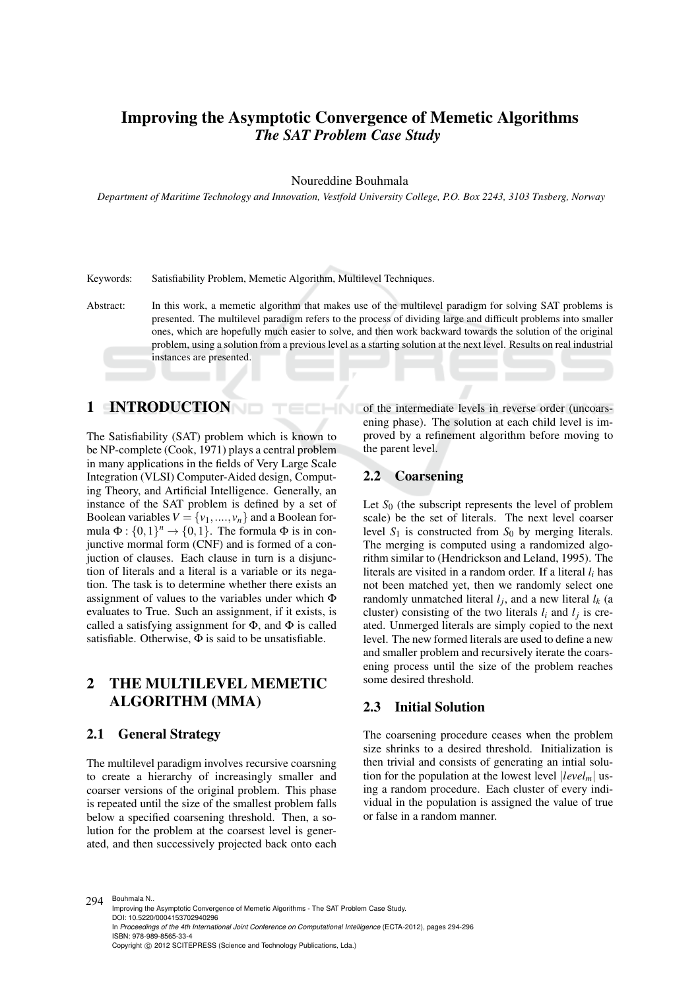# Improving the Asymptotic Convergence of Memetic Algorithms *The SAT Problem Case Study*

#### Noureddine Bouhmala

*Department of Maritime Technology and Innovation, Vestfold University College, P.O. Box 2243, 3103 Tnsberg, Norway*

Keywords: Satisfiability Problem, Memetic Algorithm, Multilevel Techniques.

Abstract: In this work, a memetic algorithm that makes use of the multilevel paradigm for solving SAT problems is presented. The multilevel paradigm refers to the process of dividing large and difficult problems into smaller ones, which are hopefully much easier to solve, and then work backward towards the solution of the original problem, using a solution from a previous level as a starting solution at the next level. Results on real industrial instances are presented.

 $-N$ 

# 1 INTRODUCTION

The Satisfiability (SAT) problem which is known to be NP-complete (Cook, 1971) plays a central problem in many applications in the fields of Very Large Scale Integration (VLSI) Computer-Aided design, Computing Theory, and Artificial Intelligence. Generally, an instance of the SAT problem is defined by a set of Boolean variables  $V = \{v_1, \ldots, v_n\}$  and a Boolean formula  $\Phi: \{0,1\}^n \to \{0,1\}$ . The formula  $\Phi$  is in conjunctive mormal form (CNF) and is formed of a conjuction of clauses. Each clause in turn is a disjunction of literals and a literal is a variable or its negation. The task is to determine whether there exists an assignment of values to the variables under which Φ evaluates to True. Such an assignment, if it exists, is called a satisfying assignment for  $\Phi$ , and  $\Phi$  is called satisfiable. Otherwise,  $\Phi$  is said to be unsatisfiable.

# 2 THE MULTILEVEL MEMETIC ALGORITHM (MMA)

#### 2.1 General Strategy

The multilevel paradigm involves recursive coarsning to create a hierarchy of increasingly smaller and coarser versions of the original problem. This phase is repeated until the size of the smallest problem falls below a specified coarsening threshold. Then, a solution for the problem at the coarsest level is generated, and then successively projected back onto each

of the intermediate levels in reverse order (uncoarsening phase). The solution at each child level is improved by a refinement algorithm before moving to the parent level.

## 2.2 Coarsening

Let  $S_0$  (the subscript represents the level of problem scale) be the set of literals. The next level coarser level  $S_1$  is constructed from  $S_0$  by merging literals. The merging is computed using a randomized algorithm similar to (Hendrickson and Leland, 1995). The literals are visited in a random order. If a literal *l<sup>i</sup>* has not been matched yet, then we randomly select one randomly unmatched literal  $l_j$ , and a new literal  $l_k$  (a cluster) consisting of the two literals  $l_i$  and  $l_j$  is created. Unmerged literals are simply copied to the next level. The new formed literals are used to define a new and smaller problem and recursively iterate the coarsening process until the size of the problem reaches some desired threshold.

### 2.3 Initial Solution

The coarsening procedure ceases when the problem size shrinks to a desired threshold. Initialization is then trivial and consists of generating an intial solution for the population at the lowest level |*levelm*| using a random procedure. Each cluster of every individual in the population is assigned the value of true or false in a random manner.

294 Bouhmala N..

Improving the Asymptotic Convergence of Memetic Algorithms - The SAT Problem Case Study. DOI: 10.5220/0004153702940296 In *Proceedings of the 4th International Joint Conference on Computational Intelligence* (ECTA-2012), pages 294-296 ISBN: 978-989-8565-33-4 Copyright (C) 2012 SCITEPRESS (Science and Technology Publications, Lda.)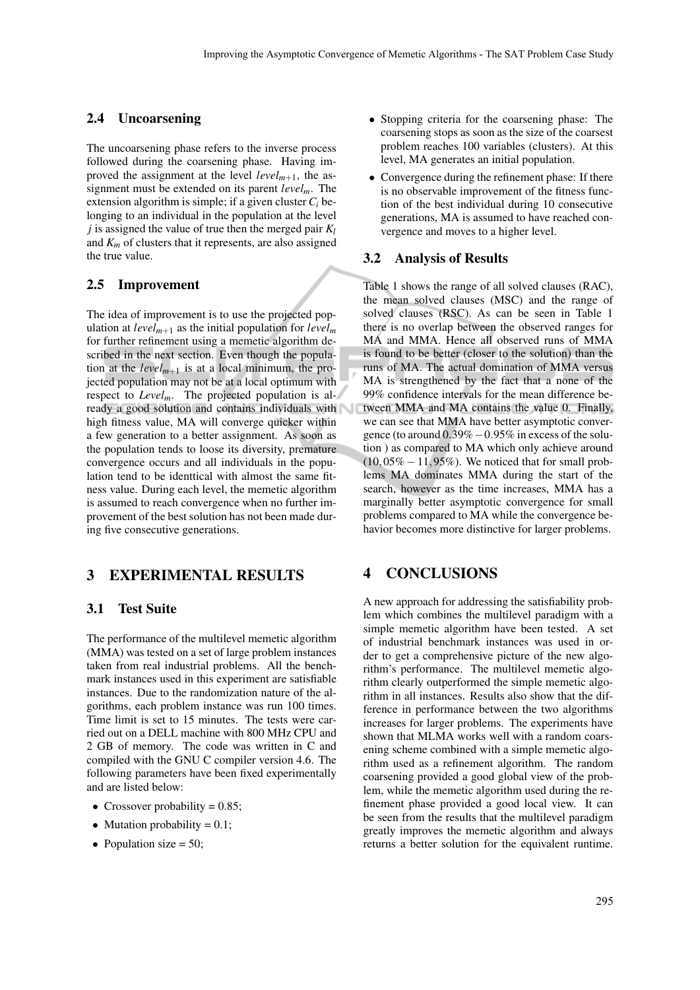## 2.4 Uncoarsening

The uncoarsening phase refers to the inverse process followed during the coarsening phase. Having improved the assignment at the level  $level_{m+1}$ , the assignment must be extended on its parent *levelm*. The extension algorithm is simple; if a given cluster  $C_i$  belonging to an individual in the population at the level *j* is assigned the value of true then the merged pair  $K_l$ and  $K_m$  of clusters that it represents, are also assigned the true value.

#### 2.5 Improvement

The idea of improvement is to use the projected population at  $level_{m+1}$  as the initial population for  $level_m$ for further refinement using a memetic algorithm described in the next section. Even though the population at the  $level_{m+1}$  is at a local minimum, the projected population may not be at a local optimum with respect to *Levelm*. The projected population is already a good solution and contains individuals with high fitness value, MA will converge quicker within a few generation to a better assignment. As soon as the population tends to loose its diversity, premature convergence occurs and all individuals in the population tend to be identtical with almost the same fitness value. During each level, the memetic algorithm is assumed to reach convergence when no further improvement of the best solution has not been made during five consecutive generations.

# 3 EXPERIMENTAL RESULTS

#### 3.1 Test Suite

The performance of the multilevel memetic algorithm (MMA) was tested on a set of large problem instances taken from real industrial problems. All the benchmark instances used in this experiment are satisfiable instances. Due to the randomization nature of the algorithms, each problem instance was run 100 times. Time limit is set to 15 minutes. The tests were carried out on a DELL machine with 800 MHz CPU and 2 GB of memory. The code was written in C and compiled with the GNU C compiler version 4.6. The following parameters have been fixed experimentally and are listed below:

- Crossover probability  $= 0.85$ ;
- Mutation probability  $= 0.1$ ;
- Population size  $= 50$ ;
- Stopping criteria for the coarsening phase: The coarsening stops as soon as the size of the coarsest problem reaches 100 variables (clusters). At this level, MA generates an initial population.
- Convergence during the refinement phase: If there is no observable improvement of the fitness function of the best individual during 10 consecutive generations, MA is assumed to have reached convergence and moves to a higher level.

#### 3.2 Analysis of Results

Table 1 shows the range of all solved clauses (RAC), the mean solved clauses (MSC) and the range of solved clauses (RSC). As can be seen in Table 1 there is no overlap between the observed ranges for MA and MMA. Hence all observed runs of MMA is found to be better (closer to the solution) than the runs of MA. The actual domination of MMA versus MA is strengthened by the fact that a none of the 99% confidence intervals for the mean difference between MMA and MA contains the value 0. Finally, we can see that MMA have better asymptotic convergence (to around 0.39%−0.95% in excess of the solution ) as compared to MA which only achieve around  $(10,05\% - 11,95\%)$ . We noticed that for small problems MA dominates MMA during the start of the search, however as the time increases, MMA has a marginally better asymptotic convergence for small problems compared to MA while the convergence behavior becomes more distinctive for larger problems.

# 4 CONCLUSIONS

A new approach for addressing the satisfiability problem which combines the multilevel paradigm with a simple memetic algorithm have been tested. A set of industrial benchmark instances was used in order to get a comprehensive picture of the new algorithm's performance. The multilevel memetic algorithm clearly outperformed the simple memetic algorithm in all instances. Results also show that the difference in performance between the two algorithms increases for larger problems. The experiments have shown that MLMA works well with a random coarsening scheme combined with a simple memetic algorithm used as a refinement algorithm. The random coarsening provided a good global view of the problem, while the memetic algorithm used during the refinement phase provided a good local view. It can be seen from the results that the multilevel paradigm greatly improves the memetic algorithm and always returns a better solution for the equivalent runtime.